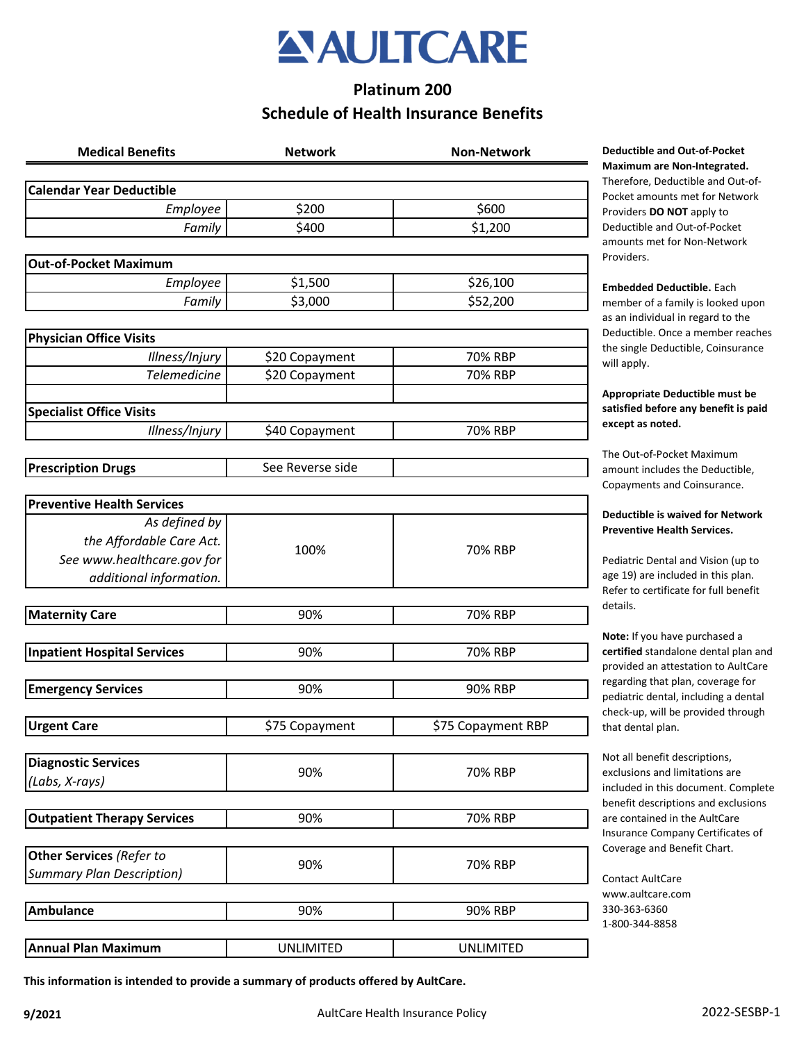

# **Platinum 200 Schedule of Health Insurance Benefits**

| <b>Medical Benefits</b>            | <b>Network</b>   | <b>Non-Network</b> |
|------------------------------------|------------------|--------------------|
| <b>Calendar Year Deductible</b>    |                  |                    |
| Employee                           | \$200            | \$600              |
| Family                             | \$400            | \$1,200            |
| <b>Out-of-Pocket Maximum</b>       |                  |                    |
| Employee                           | \$1,500          | \$26,100           |
| Family                             | \$3,000          | \$52,200           |
|                                    |                  |                    |
| <b>Physician Office Visits</b>     |                  |                    |
| Illness/Injury                     | \$20 Copayment   | 70% RBP            |
| <b>Telemedicine</b>                | \$20 Copayment   | 70% RBP            |
|                                    |                  |                    |
| <b>Specialist Office Visits</b>    |                  |                    |
| Illness/Injury                     | \$40 Copayment   | 70% RBP            |
|                                    | See Reverse side |                    |
| <b>Prescription Drugs</b>          |                  |                    |
| <b>Preventive Health Services</b>  |                  |                    |
| As defined by                      |                  |                    |
| the Affordable Care Act.           |                  |                    |
| See www.healthcare.gov for         | 100%             | 70% RBP            |
| additional information.            |                  |                    |
|                                    |                  |                    |
| <b>Maternity Care</b>              | 90%              | 70% RBP            |
|                                    |                  |                    |
| <b>Inpatient Hospital Services</b> | 90%              | 70% RBP            |
| <b>Emergency Services</b>          | 90%              | 90% RBP            |
|                                    |                  |                    |
| <b>Urgent Care</b>                 | \$75 Copayment   | \$75 Copayment RBP |
|                                    |                  |                    |
| <b>Diagnostic Services</b>         |                  |                    |
| (Labs, X-rays)                     | 90%              | 70% RBP            |
|                                    |                  |                    |
| <b>Outpatient Therapy Services</b> | 90%              | 70% RBP            |
| <b>Other Services (Refer to</b>    |                  |                    |
| <b>Summary Plan Description)</b>   | 90%              | 70% RBP            |
|                                    |                  |                    |
| <b>Ambulance</b>                   | 90%              | 90% RBP            |
|                                    |                  |                    |
| <b>Annual Plan Maximum</b>         | <b>UNLIMITED</b> | <b>UNLIMITED</b>   |

**Medical Benefits Network Non-Network Deductible and Out-of-Pocket Maximum are Non-Integrated.**  Therefore, Deductible and Out-of-Pocket amounts met for Network Providers **DO NOT** apply to Deductible and Out-of-Pocket amounts met for Non-Network Providers.

**Embedded Deductible.** Each member of a family is looked upon as an individual in regard to the Deductible. Once a member reaches the single Deductible, Coinsurance will apply.

**Appropriate Deductible must be satisfied before any benefit is paid except as noted.** 

The Out-of-Pocket Maximum amount includes the Deductible, Copayments and Coinsurance.

#### **Deductible is waived for Network Preventive Health Services.**

Pediatric Dental and Vision (up to age 19) are included in this plan. Refer to certificate for full benefit details.

**Note:** If you have purchased a **certified** standalone dental plan and provided an attestation to AultCare regarding that plan, coverage for pediatric dental, including a dental check-up, will be provided through that dental plan.

Not all benefit descriptions, exclusions and limitations are included in this document. Complete benefit descriptions and exclusions are contained in the AultCare Insurance Company Certificates of Coverage and Benefit Chart.

Contact AultCare www.aultcare.com 330-363-6360 1-800-344-8858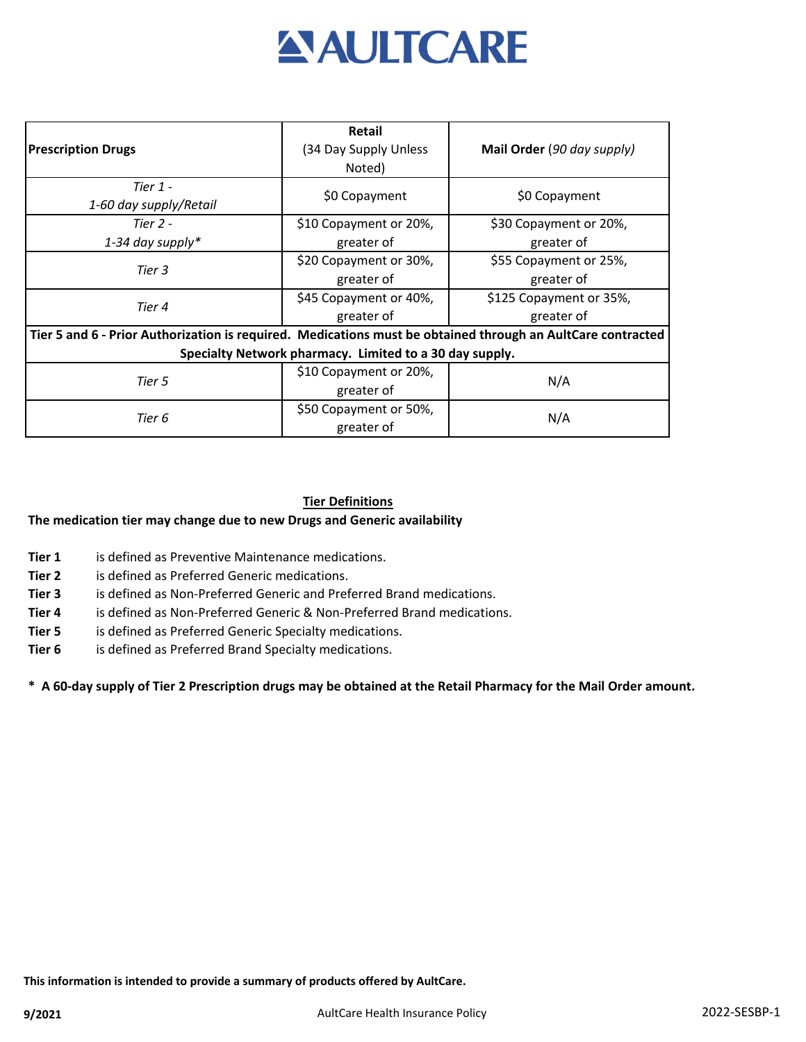

| <b>Prescription Drugs</b>                                                                                   | <b>Retail</b><br>(34 Day Supply Unless<br>Noted) | Mail Order (90 day supply) |  |
|-------------------------------------------------------------------------------------------------------------|--------------------------------------------------|----------------------------|--|
| Tier $1 -$<br>1-60 day supply/Retail                                                                        | \$0 Copayment                                    | \$0 Copayment              |  |
| Tier $2 -$                                                                                                  | \$10 Copayment or 20%,                           | \$30 Copayment or 20%,     |  |
| 1-34 day supply*                                                                                            | greater of                                       | greater of                 |  |
| Tier 3                                                                                                      | \$20 Copayment or 30%,                           | \$55 Copayment or 25%,     |  |
|                                                                                                             | greater of                                       | greater of                 |  |
| Tier 4                                                                                                      | \$45 Copayment or 40%,                           | \$125 Copayment or 35%,    |  |
|                                                                                                             | greater of                                       | greater of                 |  |
| Tier 5 and 6 - Prior Authorization is required. Medications must be obtained through an AultCare contracted |                                                  |                            |  |
| Specialty Network pharmacy. Limited to a 30 day supply.                                                     |                                                  |                            |  |
| Tier 5                                                                                                      | \$10 Copayment or 20%,                           | N/A                        |  |
|                                                                                                             | greater of                                       |                            |  |
| Tier 6                                                                                                      | \$50 Copayment or 50%,                           | N/A                        |  |
|                                                                                                             | greater of                                       |                            |  |

### **Tier Definitions**

## **The medication tier may change due to new Drugs and Generic availability**

- **Tier 1** is defined as Preventive Maintenance medications.
- **Tier 2** is defined as Preferred Generic medications.
- **Tier 3** is defined as Non-Preferred Generic and Preferred Brand medications.
- **Tier 4** is defined as Non-Preferred Generic & Non-Preferred Brand medications.
- **Tier 5** is defined as Preferred Generic Specialty medications.
- **Tier 6** is defined as Preferred Brand Specialty medications.

#### **\* A 60-day supply of Tier 2 Prescription drugs may be obtained at the Retail Pharmacy for the Mail Order amount.**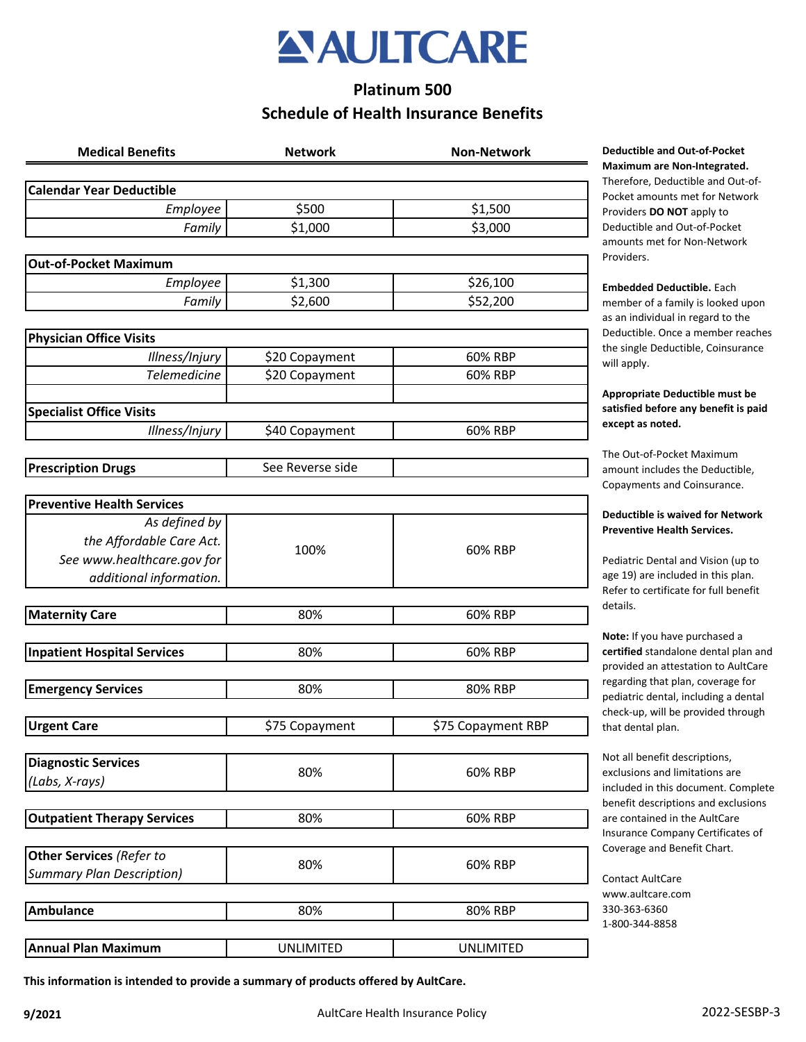

# **Platinum 500 Schedule of Health Insurance Benefits**

| <b>Medical Benefits</b>                           | <b>Network</b>   | <b>Non-Network</b> |
|---------------------------------------------------|------------------|--------------------|
| <b>Calendar Year Deductible</b>                   |                  |                    |
| Employee                                          | \$500            | \$1,500            |
| Family                                            | \$1,000          | \$3,000            |
| <b>Out-of-Pocket Maximum</b>                      |                  |                    |
| Employee                                          | \$1,300          | \$26,100           |
| Family                                            | \$2,600          | \$52,200           |
|                                                   |                  |                    |
| <b>Physician Office Visits</b>                    |                  |                    |
| Illness/Injury                                    | \$20 Copayment   | 60% RBP            |
| <b>Telemedicine</b>                               | \$20 Copayment   | 60% RBP            |
|                                                   |                  |                    |
| <b>Specialist Office Visits</b><br>Illness/Injury |                  | 60% RBP            |
|                                                   | \$40 Copayment   |                    |
| <b>Prescription Drugs</b>                         | See Reverse side |                    |
|                                                   |                  |                    |
| <b>Preventive Health Services</b>                 |                  |                    |
| As defined by                                     |                  |                    |
| the Affordable Care Act.                          | 100%             | 60% RBP            |
| See www.healthcare.gov for                        |                  |                    |
| additional information.                           |                  |                    |
| <b>Maternity Care</b>                             | 80%              | 60% RBP            |
|                                                   |                  |                    |
| <b>Inpatient Hospital Services</b>                | 80%              | 60% RBP            |
|                                                   |                  |                    |
| <b>Emergency Services</b>                         | 80%              | 80% RBP            |
|                                                   |                  |                    |
| <b>Urgent Care</b>                                | \$75 Copayment   | \$75 Copayment RBP |
| <b>Diagnostic Services</b>                        |                  |                    |
| (Labs, X-rays)                                    | 80%              | 60% RBP            |
|                                                   |                  |                    |
| <b>Outpatient Therapy Services</b>                | 80%              | 60% RBP            |
|                                                   |                  |                    |
| Other Services (Refer to                          | 80%              | 60% RBP            |
| <b>Summary Plan Description)</b>                  |                  |                    |
|                                                   |                  |                    |
| <b>Ambulance</b>                                  | 80%              | 80% RBP            |
| <b>Annual Plan Maximum</b>                        | <b>UNLIMITED</b> | <b>UNLIMITED</b>   |
|                                                   |                  |                    |

**Medical Benefits Network Non-Network Deductible and Out-of-Pocket Maximum are Non-Integrated.**  Therefore, Deductible and Out-of-Pocket amounts met for Network Providers **DO NOT** apply to Deductible and Out-of-Pocket amounts met for Non-Network Providers.

**Embedded Deductible.** Each member of a family is looked upon as an individual in regard to the Deductible. Once a member reaches the single Deductible, Coinsurance will apply.

**Appropriate Deductible must be satisfied before any benefit is paid except as noted.** 

The Out-of-Pocket Maximum amount includes the Deductible, Copayments and Coinsurance.

#### **Deductible is waived for Network Preventive Health Services.**

Pediatric Dental and Vision (up to age 19) are included in this plan. Refer to certificate for full benefit details.

**Note:** If you have purchased a **certified** standalone dental plan and provided an attestation to AultCare regarding that plan, coverage for pediatric dental, including a dental check-up, will be provided through that dental plan.

Not all benefit descriptions, exclusions and limitations are included in this document. Complete benefit descriptions and exclusions are contained in the AultCare Insurance Company Certificates of Coverage and Benefit Chart.

Contact AultCare www.aultcare.com 330-363-6360 1-800-344-8858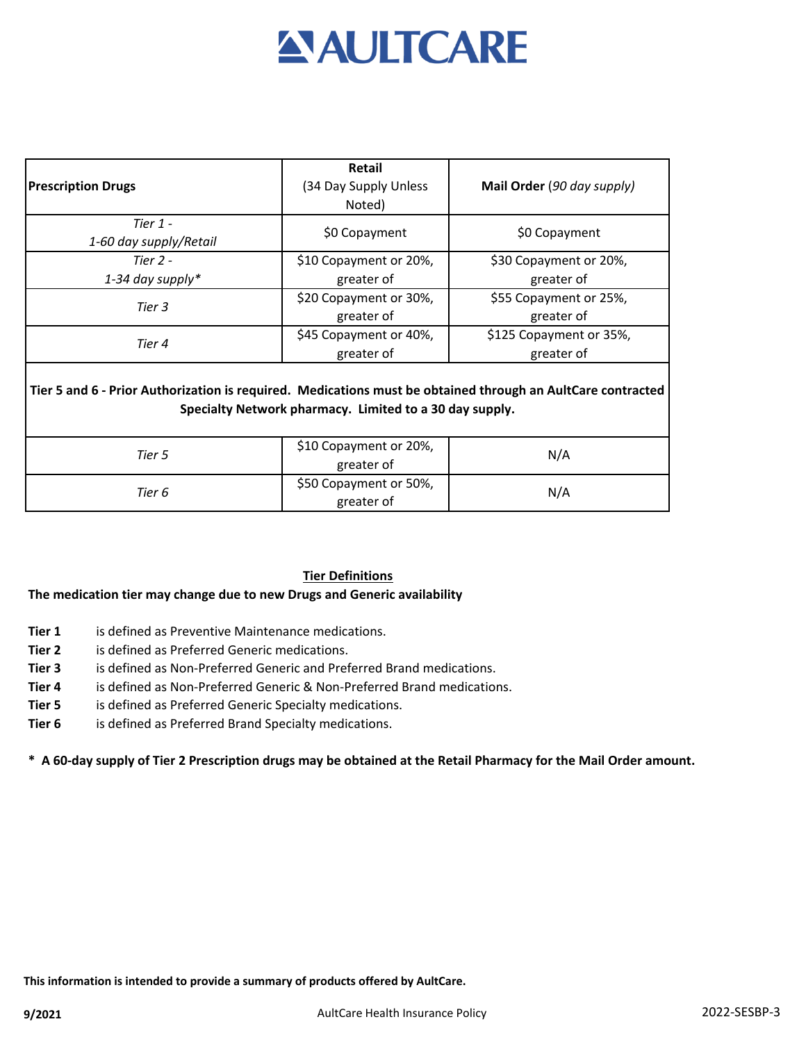# **AULTCARE**

|                                                                                                             | <b>Retail</b>                                           |                            |
|-------------------------------------------------------------------------------------------------------------|---------------------------------------------------------|----------------------------|
| <b>Prescription Drugs</b>                                                                                   | (34 Day Supply Unless                                   | Mail Order (90 day supply) |
|                                                                                                             | Noted)                                                  |                            |
| Tier 1 -                                                                                                    |                                                         |                            |
| 1-60 day supply/Retail                                                                                      | \$0 Copayment                                           | \$0 Copayment              |
| Tier $2 -$                                                                                                  | \$10 Copayment or 20%,                                  | \$30 Copayment or 20%,     |
| 1-34 day supply*                                                                                            | greater of                                              | greater of                 |
| Tier 3                                                                                                      | \$20 Copayment or 30%,                                  | \$55 Copayment or 25%,     |
|                                                                                                             | greater of                                              | greater of                 |
| Tier 4                                                                                                      | \$45 Copayment or 40%,                                  | \$125 Copayment or 35%,    |
|                                                                                                             | greater of                                              | greater of                 |
| Tier 5 and 6 - Prior Authorization is required. Medications must be obtained through an AultCare contracted | Specialty Network pharmacy. Limited to a 30 day supply. |                            |
| Tier 5                                                                                                      | \$10 Copayment or 20%,<br>greater of                    | N/A                        |
| Tier 6                                                                                                      | \$50 Copayment or 50%,<br>greater of                    | N/A                        |

# **Tier Definitions**

# **The medication tier may change due to new Drugs and Generic availability**

- **Tier 1** is defined as Preventive Maintenance medications.
- **Tier 2** is defined as Preferred Generic medications.
- **Tier 3** is defined as Non-Preferred Generic and Preferred Brand medications.
- **Tier 4** is defined as Non-Preferred Generic & Non-Preferred Brand medications.
- **Tier 5** is defined as Preferred Generic Specialty medications.
- **Tier 6** is defined as Preferred Brand Specialty medications.

**\* A 60-day supply of Tier 2 Prescription drugs may be obtained at the Retail Pharmacy for the Mail Order amount.**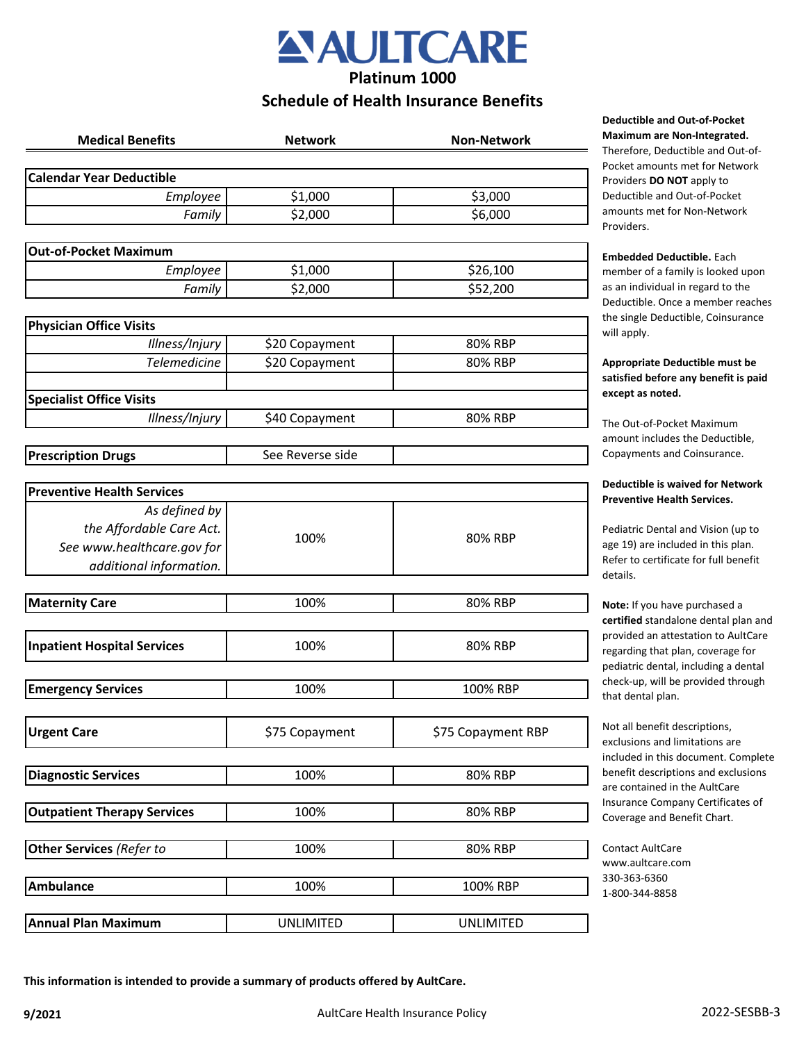

**Platinum 1000**

# **Schedule of Health Insurance Benefits**

| <b>Medical Benefits</b>            | <b>Network</b>   | <b>Non-Network</b> |
|------------------------------------|------------------|--------------------|
| <b>Calendar Year Deductible</b>    |                  |                    |
| Employee                           | \$1,000          | \$3,000            |
| Family                             | \$2,000          | \$6,000            |
|                                    |                  |                    |
| <b>Out-of-Pocket Maximum</b>       |                  |                    |
| Employee                           | \$1,000          | \$26,100           |
| Family                             | \$2,000          | \$52,200           |
| <b>Physician Office Visits</b>     |                  |                    |
| Illness/Injury                     | \$20 Copayment   | 80% RBP            |
| <b>Telemedicine</b>                | \$20 Copayment   | 80% RBP            |
| <b>Specialist Office Visits</b>    |                  |                    |
| Illness/Injury                     | \$40 Copayment   | 80% RBP            |
|                                    |                  |                    |
| <b>Prescription Drugs</b>          | See Reverse side |                    |
| <b>Preventive Health Services</b>  |                  |                    |
| As defined by                      |                  |                    |
| the Affordable Care Act.           |                  |                    |
| See www.healthcare.gov for         | 100%             | 80% RBP            |
| additional information.            |                  |                    |
|                                    |                  |                    |
| <b>Maternity Care</b>              | 100%             | 80% RBP            |
| <b>Inpatient Hospital Services</b> | 100%             | 80% RBP            |
| <b>Emergency Services</b>          | 100%             | 100% RBP           |
|                                    |                  |                    |
| <b>Urgent Care</b>                 | \$75 Copayment   | \$75 Copayment RBP |
| <b>Diagnostic Services</b>         | 100%             | 80% RBP            |
|                                    |                  |                    |
| <b>Outpatient Therapy Services</b> | 100%             | 80% RBP            |
| Other Services (Refer to           | 100%             | 80% RBP            |
| <b>Ambulance</b>                   | 100%             | 100% RBP           |
|                                    |                  |                    |
| <b>Annual Plan Maximum</b>         | <b>UNLIMITED</b> | <b>UNLIMITED</b>   |

**Deductible and Out-of-Pocket Maximum are Non-Integrated.** 

Therefore, Deductible and Out-of-Pocket amounts met for Network Providers **DO NOT** apply to Deductible and Out-of-Pocket amounts met for Non-Network Providers.

#### **Embedded Deductible.** Each member of a family is looked upon as an individual in regard to the Deductible. Once a member reaches the single Deductible, Coinsurance will apply.

**Appropriate Deductible must be satisfied before any benefit is paid except as noted.** 

The Out-of-Pocket Maximum amount includes the Deductible, Copayments and Coinsurance.

#### **Deductible is waived for Network Preventive Health Services.**

Pediatric Dental and Vision (up to age 19) are included in this plan. Refer to certificate for full benefit details.

**Note:** If you have purchased a **certified** standalone dental plan and provided an attestation to AultCare regarding that plan, coverage for pediatric dental, including a dental check-up, will be provided through that dental plan.

Not all benefit descriptions, exclusions and limitations are included in this document. Complete benefit descriptions and exclusions are contained in the AultCare Insurance Company Certificates of Coverage and Benefit Chart.

Contact AultCare www.aultcare.com 330-363-6360 1-800-344-8858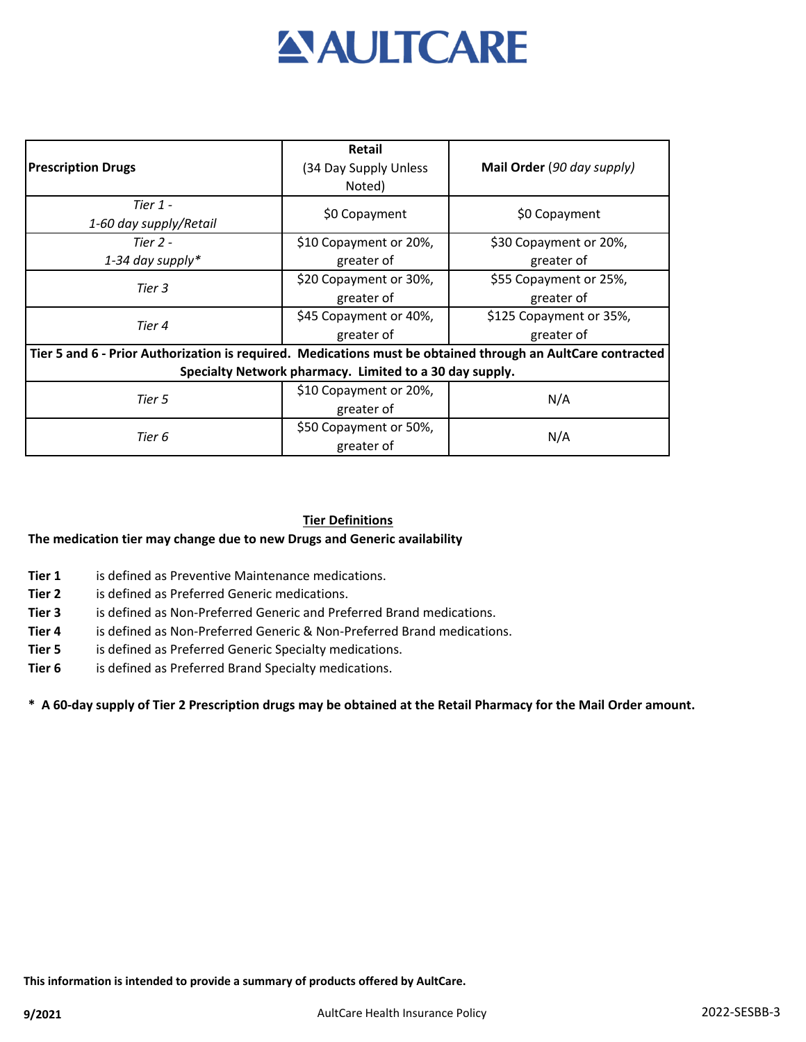

| <b>Prescription Drugs</b>                                                                                   | Retail<br>(34 Day Supply Unless<br>Noted) | Mail Order (90 day supply) |  |
|-------------------------------------------------------------------------------------------------------------|-------------------------------------------|----------------------------|--|
| Tier $1$ -<br>1-60 day supply/Retail                                                                        | \$0 Copayment                             | \$0 Copayment              |  |
| Tier $2 -$                                                                                                  | \$10 Copayment or 20%,                    | \$30 Copayment or 20%,     |  |
| 1-34 day supply*                                                                                            | greater of                                | greater of                 |  |
| Tier 3                                                                                                      | \$20 Copayment or 30%,                    | \$55 Copayment or 25%,     |  |
|                                                                                                             | greater of                                | greater of                 |  |
| Tier 4                                                                                                      | \$45 Copayment or 40%,                    | \$125 Copayment or 35%,    |  |
|                                                                                                             | greater of                                | greater of                 |  |
| Tier 5 and 6 - Prior Authorization is required. Medications must be obtained through an AultCare contracted |                                           |                            |  |
| Specialty Network pharmacy. Limited to a 30 day supply.                                                     |                                           |                            |  |
| Tier 5                                                                                                      | \$10 Copayment or 20%,                    | N/A                        |  |
|                                                                                                             | greater of                                |                            |  |
| Tier 6                                                                                                      | \$50 Copayment or 50%,                    | N/A                        |  |
|                                                                                                             | greater of                                |                            |  |

### **Tier Definitions**

#### **The medication tier may change due to new Drugs and Generic availability**

- **Tier 1** is defined as Preventive Maintenance medications.
- **Tier 2** is defined as Preferred Generic medications.
- **Tier 3** is defined as Non-Preferred Generic and Preferred Brand medications.
- **Tier 4** is defined as Non-Preferred Generic & Non-Preferred Brand medications.
- **Tier 5** is defined as Preferred Generic Specialty medications.
- **Tier 6** is defined as Preferred Brand Specialty medications.

#### **\* A 60-day supply of Tier 2 Prescription drugs may be obtained at the Retail Pharmacy for the Mail Order amount.**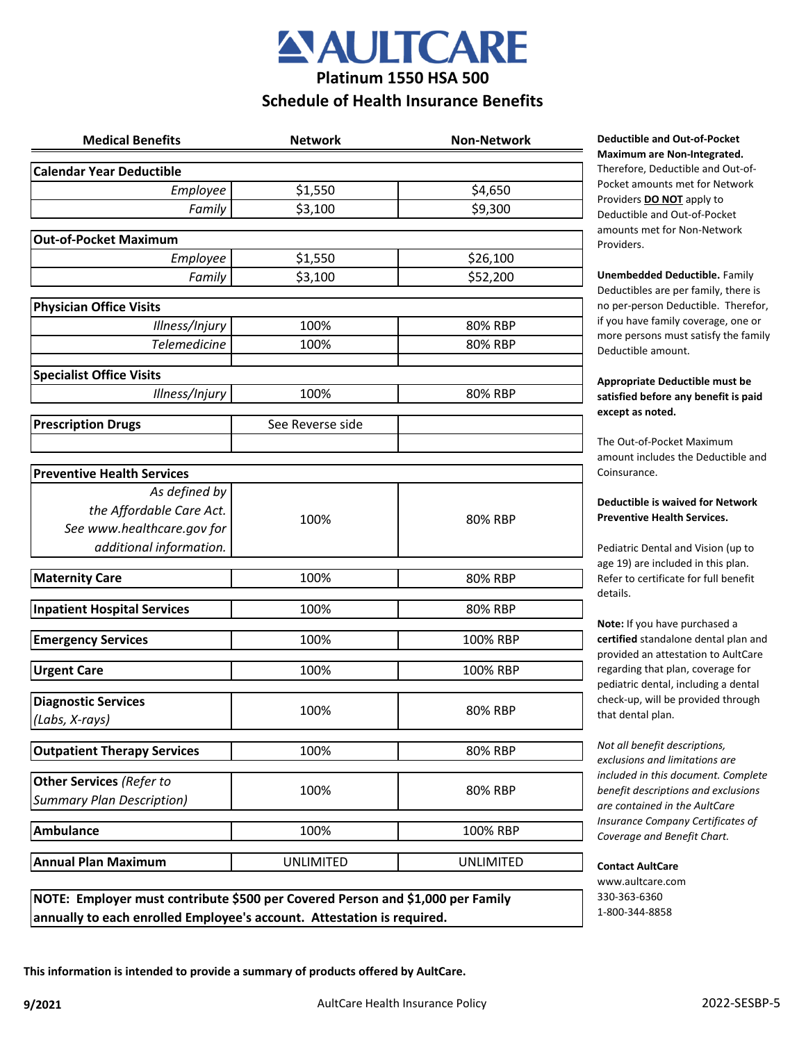

# **Platinum 1550 HSA 500 Schedule of Health Insurance Benefits**

| <b>Medical Benefits</b>                   | <b>Network</b>   | <b>Non-Network</b> |
|-------------------------------------------|------------------|--------------------|
| <b>Calendar Year Deductible</b>           |                  |                    |
| Employee                                  | \$1,550          | \$4,650            |
| Family                                    | \$3,100          | \$9,300            |
| <b>Out-of-Pocket Maximum</b>              |                  |                    |
| <b>Employee</b>                           | \$1,550          | \$26,100           |
| Family                                    | \$3,100          | \$52,200           |
| <b>Physician Office Visits</b>            |                  |                    |
| Illness/Injury                            | 100%             | 80% RBP            |
| <b>Telemedicine</b>                       | 100%             | 80% RBP            |
| <b>Specialist Office Visits</b>           |                  |                    |
| Illness/Injury                            | 100%             | 80% RBP            |
| <b>Prescription Drugs</b>                 | See Reverse side |                    |
|                                           |                  |                    |
|                                           |                  |                    |
| <b>Preventive Health Services</b>         |                  |                    |
| As defined by<br>the Affordable Care Act. |                  | 80% RBP            |
| See www.healthcare.gov for                | 100%             |                    |
| additional information.                   |                  |                    |
|                                           |                  |                    |
| <b>Maternity Care</b>                     | 100%             | 80% RBP            |
| <b>Inpatient Hospital Services</b>        | 100%             | 80% RBP            |
| <b>Emergency Services</b>                 | 100%             | 100% RBP           |
| <b>Urgent Care</b>                        | 100%             | 100% RBP           |
| <b>Diagnostic Services</b>                |                  |                    |
| (Labs, X-rays)                            | 100%             | 80% RBP            |
| <b>Outpatient Therapy Services</b>        | 100%             | 80% RBP            |
| <b>Other Services (Refer to</b>           |                  |                    |
| <b>Summary Plan Description)</b>          | 100%             | 80% RBP            |
| Ambulance                                 | 100%             | 100% RBP           |
| <b>Annual Plan Maximum</b>                | <b>UNLIMITED</b> | <b>UNLIMITED</b>   |
|                                           |                  |                    |

**NOTE: Employer must contribute \$500 per Covered Person and \$1,000 per Family annually to each enrolled Employee's account. Attestation is required.**

**Deductible and Out-of-Pocket Maximum are Non-Integrated.**  Therefore, Deductible and Out-of-

Pocket amounts met for Network Providers **DO NOT** apply to Deductible and Out-of-Pocket amounts met for Non-Network Providers.

**Unembedded Deductible.** Family Deductibles are per family, there is no per-person Deductible. Therefor, if you have family coverage, one or more persons must satisfy the family Deductible amount.

#### **Appropriate Deductible must be satisfied before any benefit is paid except as noted.**

The Out-of-Pocket Maximum amount includes the Deductible and Coinsurance.

#### **Deductible is waived for Network Preventive Health Services.**

Pediatric Dental and Vision (up to age 19) are included in this plan. Refer to certificate for full benefit details.

**Note:** If you have purchased a **certified** standalone dental plan and provided an attestation to AultCare regarding that plan, coverage for pediatric dental, including a dental check-up, will be provided through that dental plan.

*Not all benefit descriptions, exclusions and limitations are included in this document. Complete benefit descriptions and exclusions are contained in the AultCare Insurance Company Certificates of Coverage and Benefit Chart.* 

**Contact AultCare** www.aultcare.com 330-363-6360 1-800-344-8858